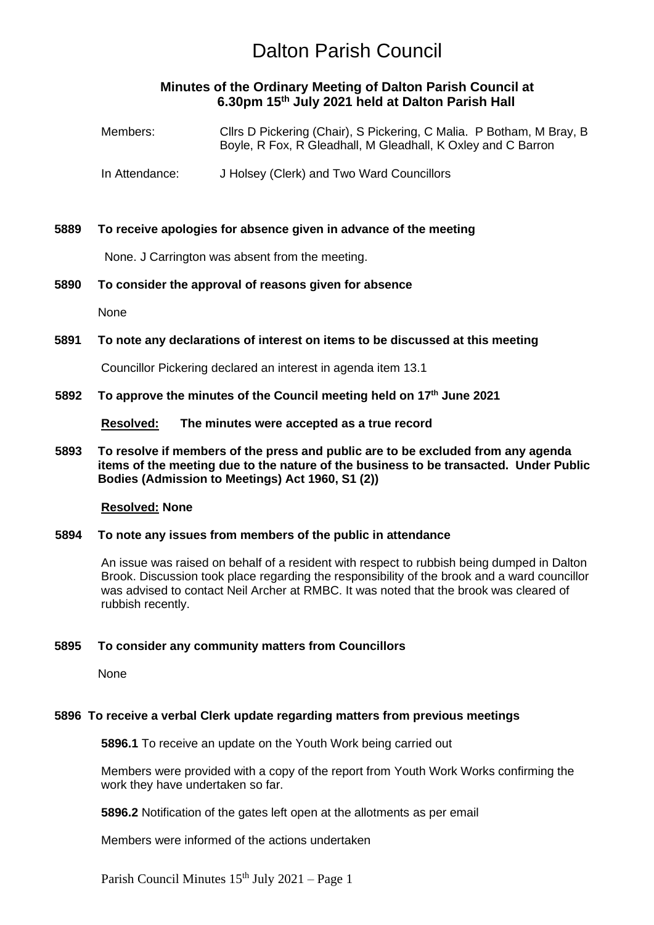# **Minutes of the Ordinary Meeting of Dalton Parish Council at 6.30pm 15 th July 2021 held at Dalton Parish Hall**

| Members:       | Cllrs D Pickering (Chair), S Pickering, C Malia. P Botham, M Bray, B<br>Boyle, R Fox, R Gleadhall, M Gleadhall, K Oxley and C Barron |  |  |  |
|----------------|--------------------------------------------------------------------------------------------------------------------------------------|--|--|--|
| In Attendance: | J Holsey (Clerk) and Two Ward Councillors                                                                                            |  |  |  |

# **5889 To receive apologies for absence given in advance of the meeting**

None. J Carrington was absent from the meeting.

# **5890 To consider the approval of reasons given for absence**

None

# **5891 To note any declarations of interest on items to be discussed at this meeting**

Councillor Pickering declared an interest in agenda item 13.1

#### **5892 To approve the minutes of the Council meeting held on 17th June 2021**

**Resolved: The minutes were accepted as a true record**

**5893 To resolve if members of the press and public are to be excluded from any agenda items of the meeting due to the nature of the business to be transacted. Under Public Bodies (Admission to Meetings) Act 1960, S1 (2))**

#### **Resolved: None**

#### **5894 To note any issues from members of the public in attendance**

An issue was raised on behalf of a resident with respect to rubbish being dumped in Dalton Brook. Discussion took place regarding the responsibility of the brook and a ward councillor was advised to contact Neil Archer at RMBC. It was noted that the brook was cleared of rubbish recently.

#### **5895 To consider any community matters from Councillors**

None

#### **5896 To receive a verbal Clerk update regarding matters from previous meetings**

**5896.1** To receive an update on the Youth Work being carried out

Members were provided with a copy of the report from Youth Work Works confirming the work they have undertaken so far.

**5896.2** Notification of the gates left open at the allotments as per email

Members were informed of the actions undertaken

Parish Council Minutes 15<sup>th</sup> July 2021 – Page 1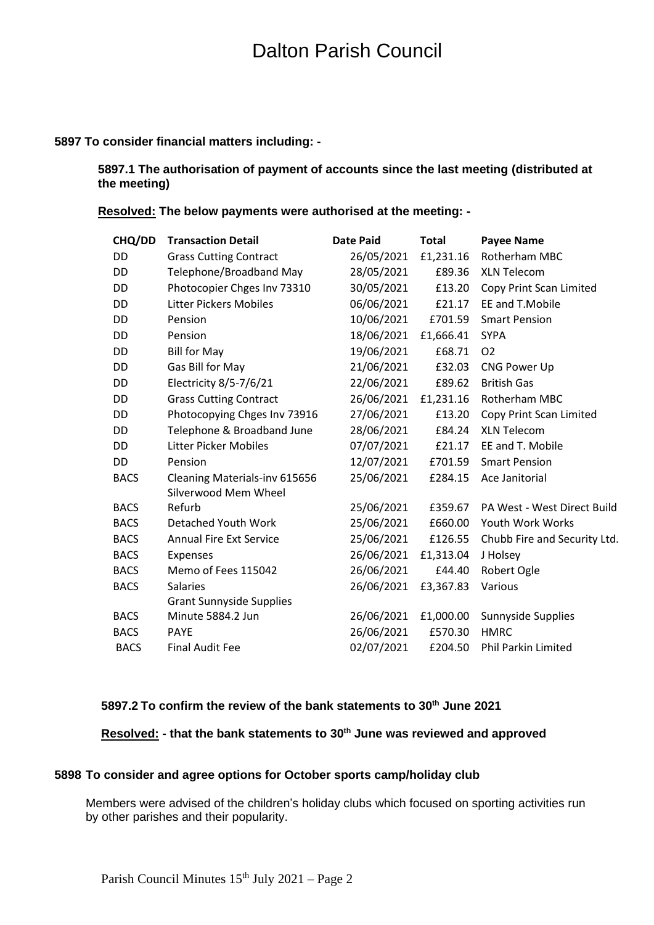# **5897 To consider financial matters including: -**

# **5897.1 The authorisation of payment of accounts since the last meeting (distributed at the meeting)**

**Resolved: The below payments were authorised at the meeting: -**

| CHQ/DD      | <b>Transaction Detail</b>       | <b>Date Paid</b> | <b>Total</b> | <b>Payee Name</b>            |
|-------------|---------------------------------|------------------|--------------|------------------------------|
| <b>DD</b>   | <b>Grass Cutting Contract</b>   | 26/05/2021       | £1,231.16    | Rotherham MBC                |
| DD          | Telephone/Broadband May         | 28/05/2021       | £89.36       | <b>XLN Telecom</b>           |
| DD          | Photocopier Chges Inv 73310     | 30/05/2021       | £13.20       | Copy Print Scan Limited      |
| DD          | <b>Litter Pickers Mobiles</b>   | 06/06/2021       | £21.17       | EE and T.Mobile              |
| DD          | Pension                         | 10/06/2021       | £701.59      | <b>Smart Pension</b>         |
| DD          | Pension                         | 18/06/2021       | £1,666.41    | <b>SYPA</b>                  |
| DD          | <b>Bill for May</b>             | 19/06/2021       | £68.71       | O <sub>2</sub>               |
| DD          | Gas Bill for May                | 21/06/2021       | £32.03       | CNG Power Up                 |
| DD          | Electricity 8/5-7/6/21          | 22/06/2021       | £89.62       | <b>British Gas</b>           |
| DD          | <b>Grass Cutting Contract</b>   | 26/06/2021       | £1,231.16    | Rotherham MBC                |
| DD          | Photocopying Chges Inv 73916    | 27/06/2021       | £13.20       | Copy Print Scan Limited      |
| DD          | Telephone & Broadband June      | 28/06/2021       | £84.24       | <b>XLN Telecom</b>           |
| DD          | <b>Litter Picker Mobiles</b>    | 07/07/2021       | £21.17       | EE and T. Mobile             |
| DD          | Pension                         | 12/07/2021       | £701.59      | <b>Smart Pension</b>         |
| <b>BACS</b> | Cleaning Materials-inv 615656   | 25/06/2021       | £284.15      | Ace Janitorial               |
|             | Silverwood Mem Wheel            |                  |              |                              |
| <b>BACS</b> | Refurb                          | 25/06/2021       | £359.67      | PA West - West Direct Build  |
| <b>BACS</b> | Detached Youth Work             | 25/06/2021       | £660.00      | Youth Work Works             |
| <b>BACS</b> | <b>Annual Fire Ext Service</b>  | 25/06/2021       | £126.55      | Chubb Fire and Security Ltd. |
| <b>BACS</b> | Expenses                        | 26/06/2021       | £1,313.04    | J Holsey                     |
| <b>BACS</b> | Memo of Fees 115042             | 26/06/2021       | £44.40       | Robert Ogle                  |
| <b>BACS</b> | <b>Salaries</b>                 | 26/06/2021       | £3,367.83    | Various                      |
|             | <b>Grant Sunnyside Supplies</b> |                  |              |                              |
| <b>BACS</b> | Minute 5884.2 Jun               | 26/06/2021       | £1,000.00    | Sunnyside Supplies           |
| <b>BACS</b> | <b>PAYE</b>                     | 26/06/2021       | £570.30      | <b>HMRC</b>                  |
| <b>BACS</b> | <b>Final Audit Fee</b>          | 02/07/2021       | £204.50      | Phil Parkin Limited          |

# **5897.2 To confirm the review of the bank statements to 30th June 2021**

**Resolved: - that the bank statements to 30th June was reviewed and approved**

### **5898 To consider and agree options for October sports camp/holiday club**

Members were advised of the children's holiday clubs which focused on sporting activities run by other parishes and their popularity.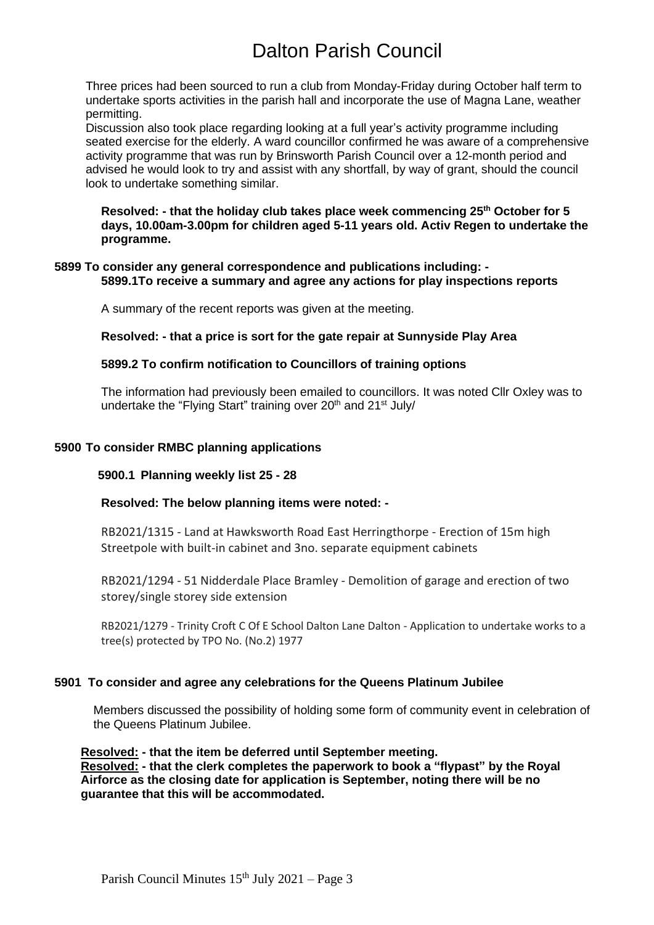Three prices had been sourced to run a club from Monday-Friday during October half term to undertake sports activities in the parish hall and incorporate the use of Magna Lane, weather permitting.

Discussion also took place regarding looking at a full year's activity programme including seated exercise for the elderly. A ward councillor confirmed he was aware of a comprehensive activity programme that was run by Brinsworth Parish Council over a 12-month period and advised he would look to try and assist with any shortfall, by way of grant, should the council look to undertake something similar.

**Resolved: - that the holiday club takes place week commencing 25th October for 5 days, 10.00am-3.00pm for children aged 5-11 years old. Activ Regen to undertake the programme.**

# **5899 To consider any general correspondence and publications including: - 5899.1To receive a summary and agree any actions for play inspections reports**

A summary of the recent reports was given at the meeting.

**Resolved: - that a price is sort for the gate repair at Sunnyside Play Area**

# **5899.2 To confirm notification to Councillors of training options**

The information had previously been emailed to councillors. It was noted Cllr Oxley was to undertake the "Flying Start" training over 20<sup>th</sup> and 21<sup>st</sup> July/

# **5900 To consider RMBC planning applications**

#### **5900.1 Planning weekly list 25 - 28**

#### **Resolved: The below planning items were noted: -**

RB2021/1315 - Land at Hawksworth Road East Herringthorpe - Erection of 15m high Streetpole with built-in cabinet and 3no. separate equipment cabinets

RB2021/1294 - 51 Nidderdale Place Bramley - Demolition of garage and erection of two storey/single storey side extension

RB2021/1279 - Trinity Croft C Of E School Dalton Lane Dalton - Application to undertake works to a tree(s) protected by TPO No. (No.2) 1977

#### **5901 To consider and agree any celebrations for the Queens Platinum Jubilee**

Members discussed the possibility of holding some form of community event in celebration of the Queens Platinum Jubilee.

**Resolved: - that the item be deferred until September meeting. Resolved: - that the clerk completes the paperwork to book a "flypast" by the Royal Airforce as the closing date for application is September, noting there will be no guarantee that this will be accommodated.**